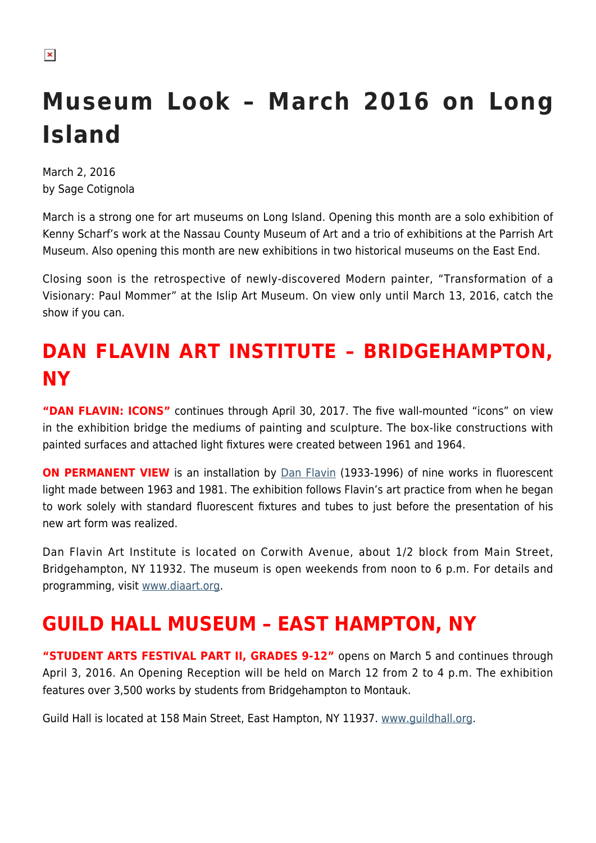# **Museum Look – March 2016 on Long Island**

March 2, 2016 by Sage Cotignola

March is a strong one for art museums on Long Island. Opening this month are a solo exhibition of Kenny Scharf's work at the Nassau County Museum of Art and a trio of exhibitions at the Parrish Art Museum. Also opening this month are new exhibitions in two historical museums on the East End.

Closing soon is the retrospective of newly-discovered Modern painter, "Transformation of a Visionary: Paul Mommer" at the Islip Art Museum. On view only until March 13, 2016, catch the show if you can.

## **DAN FLAVIN ART INSTITUTE – BRIDGEHAMPTON, NY**

**"DAN FLAVIN: ICONS"** continues through April 30, 2017. The five wall-mounted "icons" on view in the exhibition bridge the mediums of painting and sculpture. The box-like constructions with painted surfaces and attached light fixtures were created between 1961 and 1964.

**ON PERMANENT VIEW** is an installation by [Dan Flavin](http://www.theartstory.org/artist-flavin-dan.htm) (1933-1996) of nine works in fluorescent light made between 1963 and 1981. The exhibition follows Flavin's art practice from when he began to work solely with standard fluorescent fixtures and tubes to just before the presentation of his new art form was realized.

Dan Flavin Art Institute is located on Corwith Avenue, about 1/2 block from Main Street, Bridgehampton, NY 11932. The museum is open weekends from noon to 6 p.m. For details and programming, visit [www.diaart.org.](http://www.diaart.org)

## **GUILD HALL MUSEUM – EAST HAMPTON, NY**

**"STUDENT ARTS FESTIVAL PART II, GRADES 9-12"** opens on March 5 and continues through April 3, 2016. An Opening Reception will be held on March 12 from 2 to 4 p.m. The exhibition features over 3,500 works by students from Bridgehampton to Montauk.

Guild Hall is located at 158 Main Street, East Hampton, NY 11937. [www.guildhall.org](http://www.guildhall.org).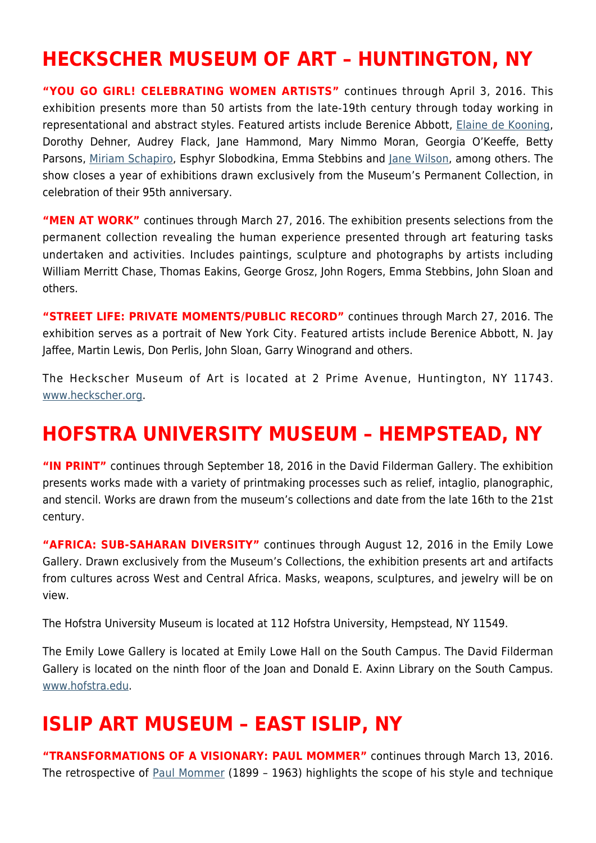### **HECKSCHER MUSEUM OF ART – HUNTINGTON, NY**

**"YOU GO GIRL! CELEBRATING WOMEN ARTISTS"** continues through April 3, 2016. This exhibition presents more than 50 artists from the late-19th century through today working in representational and abstract styles. Featured artists include Berenice Abbott, [Elaine de Kooning,](https://hamptonsarthub.com/2015/08/12/elaine-de-kooning-portrayed-absorbing-window-into-history/) Dorothy Dehner, Audrey Flack, Jane Hammond, Mary Nimmo Moran, Georgia O'Keeffe, Betty Parsons, [Miriam Schapiro,](https://hamptonsarthub.com/2015/06/29/miriam-schapiro-known-for-feminism-and-pattern-and-decoration-dies-at-91/) Esphyr Slobodkina, Emma Stebbins and [Jane Wilson](https://hamptonsarthub.com/2015/10/30/double-dream-in-painting-matched-by-jane-freilicher-and-jane-wilson/), among others. The show closes a year of exhibitions drawn exclusively from the Museum's Permanent Collection, in celebration of their 95th anniversary.

**"MEN AT WORK"** continues through March 27, 2016. The exhibition presents selections from the permanent collection revealing the human experience presented through art featuring tasks undertaken and activities. Includes paintings, sculpture and photographs by artists including William Merritt Chase, Thomas Eakins, George Grosz, John Rogers, Emma Stebbins, John Sloan and others.

**"STREET LIFE: PRIVATE MOMENTS/PUBLIC RECORD"** continues through March 27, 2016. The exhibition serves as a portrait of New York City. Featured artists include Berenice Abbott, N. Jay Jaffee, Martin Lewis, Don Perlis, John Sloan, Garry Winogrand and others.

The Heckscher Museum of Art is located at 2 Prime Avenue, Huntington, NY 11743. [www.heckscher.org](http://www.heckscher.org).

#### **HOFSTRA UNIVERSITY MUSEUM – HEMPSTEAD, NY**

**"IN PRINT"** continues through September 18, 2016 in the David Filderman Gallery. The exhibition presents works made with a variety of printmaking processes such as relief, intaglio, planographic, and stencil. Works are drawn from the museum's collections and date from the late 16th to the 21st century.

**"AFRICA: SUB-SAHARAN DIVERSITY"** continues through August 12, 2016 in the Emily Lowe Gallery. Drawn exclusively from the Museum's Collections, the exhibition presents art and artifacts from cultures across West and Central Africa. Masks, weapons, sculptures, and jewelry will be on view.

The Hofstra University Museum is located at 112 Hofstra University, Hempstead, NY 11549.

The Emily Lowe Gallery is located at Emily Lowe Hall on the South Campus. The David Filderman Gallery is located on the ninth floor of the Joan and Donald E. Axinn Library on the South Campus. [www.hofstra.edu.](http://www.hofstra.edu)

#### **ISLIP ART MUSEUM – EAST ISLIP, NY**

**"TRANSFORMATIONS OF A VISIONARY: PAUL MOMMER"** continues through March 13, 2016. The retrospective of [Paul Mommer](http://www.nytimes.com/2016/02/21/nyregion/paul-mommer-a-forgotten-master.html) (1899 – 1963) highlights the scope of his style and technique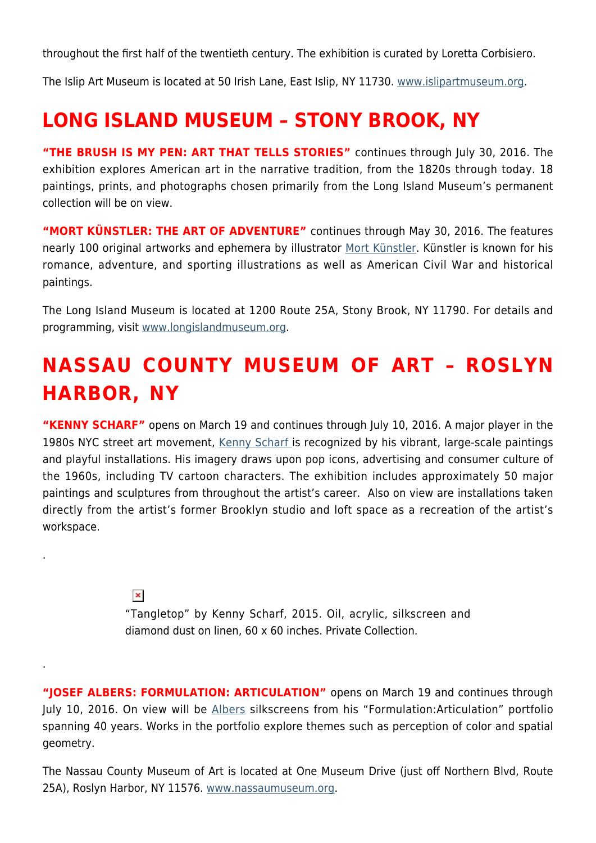throughout the first half of the twentieth century. The exhibition is curated by Loretta Corbisiero.

The Islip Art Museum is located at 50 Irish Lane, East Islip, NY 11730. [www.islipartmuseum.org.](http://www.islipartmuseum.org)

### **LONG ISLAND MUSEUM – STONY BROOK, NY**

**"THE BRUSH IS MY PEN: ART THAT TELLS STORIES"** continues through July 30, 2016. The exhibition explores American art in the narrative tradition, from the 1820s through today. 18 paintings, prints, and photographs chosen primarily from the Long Island Museum's permanent collection will be on view.

**"MORT KÜNSTLER: THE ART OF ADVENTURE"** continues through May 30, 2016. The features nearly 100 original artworks and ephemera by illustrator [Mort Künstler.](http://www.mortkunstler.com/) Künstler is known for his romance, adventure, and sporting illustrations as well as American Civil War and historical paintings.

The Long Island Museum is located at 1200 Route 25A, Stony Brook, NY 11790. For details and programming, visit [www.longislandmuseum.org.](http://www.longislandmuseum.org)

## **NASSAU COUNTY MUSEUM OF ART – ROSLYN HARBOR, NY**

**"KENNY SCHARF"** opens on March 19 and continues through July 10, 2016. A major player in the 1980s NYC street art movement, [Kenny Scharf i](http://kennyscharf.com/)s recognized by his vibrant, large-scale paintings and playful installations. His imagery draws upon pop icons, advertising and consumer culture of the 1960s, including TV cartoon characters. The exhibition includes approximately 50 major paintings and sculptures from throughout the artist's career. Also on view are installations taken directly from the artist's former Brooklyn studio and loft space as a recreation of the artist's workspace.

 $\pmb{\times}$ 

.

.

"Tangletop" by Kenny Scharf, 2015. Oil, acrylic, silkscreen and diamond dust on linen, 60 x 60 inches. Private Collection.

**"JOSEF ALBERS: FORMULATION: ARTICULATION"** opens on March 19 and continues through July 10, 2016. On view will be [Albers](http://www.albersfoundation.org/) silkscreens from his "Formulation:Articulation" portfolio spanning 40 years. Works in the portfolio explore themes such as perception of color and spatial geometry.

The Nassau County Museum of Art is located at One Museum Drive (just off Northern Blvd, Route 25A), Roslyn Harbor, NY 11576. [www.nassaumuseum.org](http://www.nassaumuseum.org).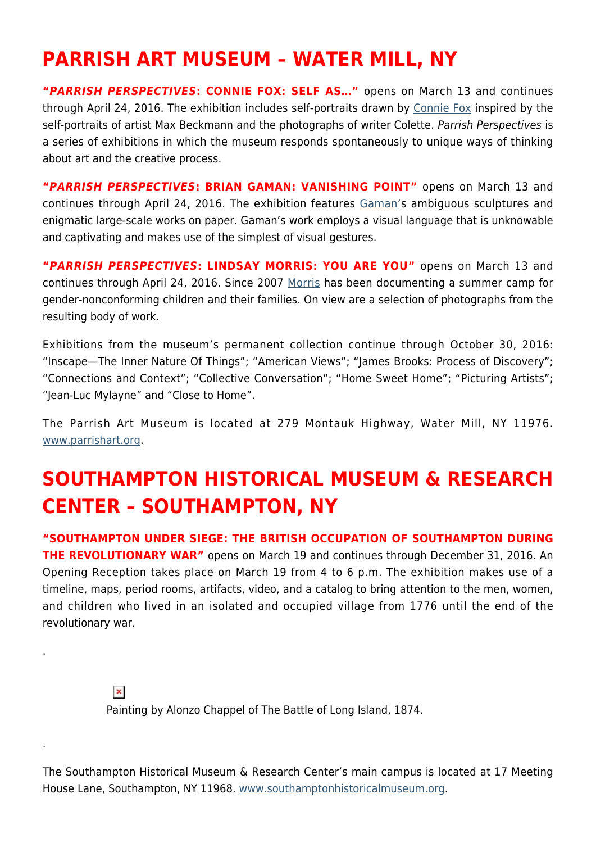### **PARRISH ART MUSEUM – WATER MILL, NY**

**"***PARRISH PERSPECTIVES***: CONNIE FOX: SELF AS…"** opens on March 13 and continues through April 24, 2016. The exhibition includes self-portraits drawn by [Connie Fox](http://www.conniefoxpaintings.com/) inspired by the self-portraits of artist Max Beckmann and the photographs of writer Colette. Parrish Perspectives is a series of exhibitions in which the museum responds spontaneously to unique ways of thinking about art and the creative process.

**"***PARRISH PERSPECTIVES***: BRIAN GAMAN: VANISHING POINT"** opens on March 13 and continues through April 24, 2016. The exhibition features [Gaman](http://www.briangaman.net/)'s ambiguous sculptures and enigmatic large-scale works on paper. Gaman's work employs a visual language that is unknowable and captivating and makes use of the simplest of visual gestures.

**"***PARRISH PERSPECTIVES***: LINDSAY MORRIS: YOU ARE YOU"** opens on March 13 and continues through April 24, 2016. Since 2007 [Morris](http://lindsaymorris.photoshelter.com/) has been documenting a summer camp for gender-nonconforming children and their families. On view are a selection of photographs from the resulting body of work.

Exhibitions from the museum's permanent collection continue through October 30, 2016: "Inscape—The Inner Nature Of Things"; "American Views"; "James Brooks: Process of Discovery"; "Connections and Context"; "Collective Conversation"; "Home Sweet Home"; "Picturing Artists"; "Jean-Luc Mylayne" and "Close to Home".

The Parrish Art Museum is located at 279 Montauk Highway, Water Mill, NY 11976. [www.parrishart.org](http://www.parrishart.org).

## **SOUTHAMPTON HISTORICAL MUSEUM & RESEARCH CENTER – SOUTHAMPTON, NY**

**"SOUTHAMPTON UNDER SIEGE: THE BRITISH OCCUPATION OF SOUTHAMPTON DURING THE REVOLUTIONARY WAR"** opens on March 19 and continues through December 31, 2016. An Opening Reception takes place on March 19 from 4 to 6 p.m. The exhibition makes use of a timeline, maps, period rooms, artifacts, video, and a catalog to bring attention to the men, women, and children who lived in an isolated and occupied village from 1776 until the end of the revolutionary war.

 $\pmb{\times}$ 

.

.

Painting by Alonzo Chappel of The Battle of Long Island, 1874.

The Southampton Historical Museum & Research Center's main campus is located at 17 Meeting House Lane, Southampton, NY 11968. [www.southamptonhistoricalmuseum.org](http://www.southamptonhistoricalmuseum.org).